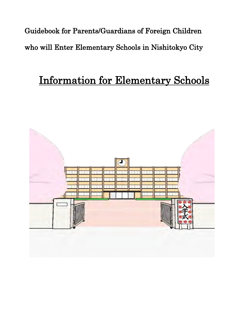Guidebook for Parents/Guardians of Foreign Children who will Enter Elementary Schools in Nishitokyo City

# Information for Elementary Schools

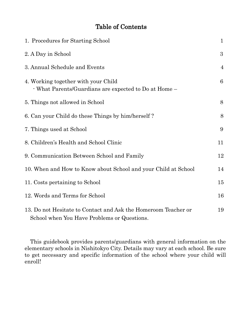## Table of Contents

| 1. Procedures for Starting School                                                                             | $\mathbf{1}$   |
|---------------------------------------------------------------------------------------------------------------|----------------|
| 2. A Day in School                                                                                            | $\overline{3}$ |
| 3. Annual Schedule and Events                                                                                 | $\overline{4}$ |
| 4. Working together with your Child<br>- What Parents/Guardians are expected to Do at Home –                  | 6              |
| 5. Things not allowed in School                                                                               | 8              |
| 6. Can your Child do these Things by him/herself?                                                             | 8              |
| 7. Things used at School                                                                                      | 9              |
| 8. Children's Health and School Clinic                                                                        | 11             |
| 9. Communication Between School and Family                                                                    | 12             |
| 10. When and How to Know about School and your Child at School                                                | 14             |
| 11. Costs pertaining to School                                                                                | 15             |
| 12. Words and Terms for School                                                                                | 16             |
| 13. Do not Hesitate to Contact and Ask the Homeroom Teacher or<br>School when You Have Problems or Questions. | 19             |

This guidebook provides parents/guardians with general information on the elementary schools in Nishitokyo City. Details may vary at each school. Be sure to get necessary and specific information of the school where your child will enroll!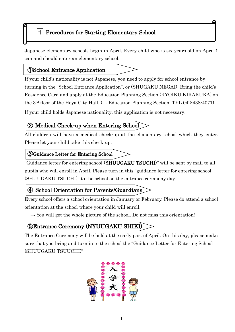## 1. Procedures for Starting Elementary School 1 Procedures for Starting Elementary School

Japanese elementary schools begin in April. Every child who is six years old on April 1 can and should enter an elementary school.

## ①School Entrance Application

p

 $\overline{\phantom{a}}$ 

If your child's nationality is not Japanese, you need to apply for school entrance by turning in the "School Entrance Application", or (SHUGAKU NEGAI). Bring the child's Residence Card and apply at the Education Planning Section (KYOIKU KIKAKUKA) on the 3<sup>rd</sup> floor of the Hoya City Hall. ( $\rightarrow$  Education Planning Section: TEL 042-438-4071)

If your child holds Japanese nationality, this application is not necessary.

## ② Medical Check-up when Entering School

All children will have a medical check-up at the elementary school which they enter. Please let your child take this check-up.

#### ③Guidance Letter for Entering School

"Guidance letter for entering school (SHUUGAKU TSUCHI)" will be sent by mail to all pupils who will enroll in April. Please turn in this "guidance letter for entering school (SHUUGAKU TSUCHI)" to the school on the entrance ceremony day.

## ④ School Orientation for Parents/Guardians

Every school offers a school orientation in January or February. Please do attend a school orientation at the school where your child will enroll.

 $\rightarrow$  You will get the whole picture of the school. Do not miss this orientation!

## ⑤Entrance Ceremony (NYUUGAKU SHIKI)

The Entrance Ceremony will be held at the early part of April. On this day, please make sure that you bring and turn in to the school the "Guidance Letter for Entering School (SHUUGAKU TSUUCHI)".

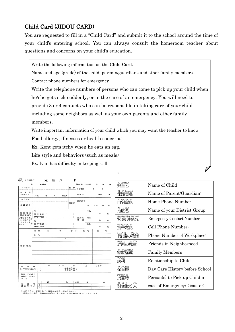## Child Card (JIDOU CARD)

You are requested to fill in a "Child Card" and submit it to the school around the time of your child's entering school. You can always consult the homeroom teacher about questions and concerns on your child's education.

Write the following information on the Child Card.

Name and age (grade) of the child, parents/guardians and other family members.

Contact phone numbers for emergency

Write the telephone numbers of persons who can come to pick up your child when he/she gets sick suddenly, or in the case of an emergency. You will need to provide 3 or 4 contacts who can be responsible in taking care of your child including some neighbors as well as your own parents and other family members.

Write important information of your child which you may want the teacher to know. Food allergy, illnesses or health concerns:

:

Ex. Kent gets itchy when he eats an egg.

Life style and behaviors (such as meals)

Reina does not understand the Japanese life style.

Ex. Ivan has difficulty in keeping still.

| (1%22) "一下问珠仔             |     |                | 冗                | 里の |                                 | $\overline{\phantom{0}}$ | r      |              |                 |                |           |   |
|---------------------------|-----|----------------|------------------|----|---------------------------------|--------------------------|--------|--------------|-----------------|----------------|-----------|---|
| 年                         |     |                | 月現在              |    |                                 |                          |        | 保谷第二小学校      |                 | 年              | 組         | 番 |
| ふりがな                      |     |                |                  |    |                                 | 性                        | 別      | 自宅電話         |                 | $\epsilon$     | $\lambda$ |   |
| 児童名<br>(生年月日)             | (平成 |                | 年                | 月  | $\overline{\phantom{a}}$<br>日生) |                          |        | 地区名          |                 |                | 地区        | 班 |
| ふりがな                      |     |                |                  |    |                                 |                          |        | 西東京市         |                 |                |           |   |
| 保護者名                      |     |                |                  |    |                                 | 现住所                      |        |              |                 | 町 丁目 番         |           | 昙 |
| 保護者の<br>緊急連絡先             | 父   |                | 携帯電話(            |    |                                 |                          | )      |              | 氏名              |                | 年         | 組 |
| /電話番号だ)<br>けの記入で<br>もかまいま | 母   |                | 職場の電話(           |    |                                 |                          | y.     | 近所の<br>児 童   | 氏名              |                | 年         | 組 |
| せん。                       |     |                | 携帯電話(<br>職場の電話 ( |    |                                 |                          | )<br>Y |              | 氏名              |                | 年         | 組 |
|                           | 続柄  |                | 氏                |    | 名                               |                          | 学年     | $\cdot$<br>組 | 等               | 備              |           | 老 |
|                           | 本人  |                |                  |    |                                 |                          |        |              |                 |                |           |   |
|                           |     |                |                  |    | ٠                               |                          |        |              |                 |                |           |   |
| 家族構成                      |     |                |                  |    |                                 |                          |        |              |                 |                |           |   |
|                           |     |                |                  |    |                                 |                          |        |              |                 |                |           |   |
|                           |     |                |                  |    |                                 |                          |        |              |                 |                |           |   |
|                           |     |                |                  |    |                                 |                          |        |              |                 |                |           |   |
|                           |     |                |                  |    |                                 |                          |        |              |                 |                |           |   |
| 保育歴<br>(1年生のみ記入)          |     | C              | 年                |    | 月 ~                             | 幼稚園在園、<br>保育園在園ノ         | 年      |              | 月               | 日まで            |           |   |
| 健康・その他で<br>連絡しておきた<br>いこと |     |                |                  |    |                                 |                          |        |              |                 |                |           |   |
| 災<br>一帯                   | 時   | $\mathbf{1}$   | 氏                |    | 名                               |                          | 続柄     |              | 徽               |                | 話         |   |
| 引き取り人                     |     | $\overline{2}$ |                  |    |                                 |                          |        |              | €<br>$\epsilon$ | $\lambda$<br>1 |           |   |
|                           |     |                |                  |    |                                 |                          |        |              |                 |                |           |   |

| じどうめい<br>児童そ                 | Name of Child                   |
|------------------------------|---------------------------------|
| ほ ごしゃめい<br>保護者名              | Name of Parent/Guardian:        |
| じたくでん わ<br>自宅電話              | Home Phone Number               |
| くめい<br>ち<br>地区名              | Name of your District Group     |
| きんきゅうれんらくさき<br>緊 急 連絡先       | <b>Emergency Contact Number</b> |
| <sub>けいたいでん わ</sub><br>携帯電話  | Cell Phone Number:              |
| いょくば でんわ                     | Phone Number of Workplace:      |
| <sub>きんじょうじょう</sub><br>近所の児童 | Friends in Neighborhood         |
| か ぞくこうせい<br>家族構成             | <b>Family Members</b>           |
| ぞくがら                         | Relationship to Child           |
| <sub>ほいくれき</sub><br>保育歴      | Day Care History before School  |
| さいがいじ<br>災害時                 | Person(s) to Pick up Child in   |
| 引き取りい                        | case of Emergency/Disaster      |

 $\widehat{H}$ 'nш

引き取り人は、原則として、保護者か同居の親族とします。<br>(親族以外の場合、実際の非常時に、責任を持って引き取りに来られる方とします。)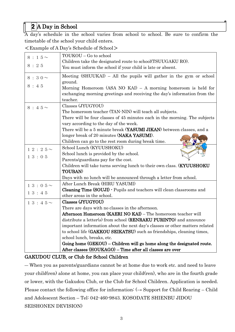## 2 A Day in School

A day's schedule in the school varies from school to school. Be sure to confirm the timetable of the school your child enters.

<Example of A Day's Schedule of School>

|                         | TOUKOU - Go to school                                                       |
|-------------------------|-----------------------------------------------------------------------------|
| 8 : 1 5 $\sim$          |                                                                             |
| 8:25                    | Children take the designated route to school(TSUUGAKU RO).                  |
|                         | You must inform the school if your child is late or absent.                 |
| $8:30\sim$              | Meeting (SHUUKAI) – All the pupils will gather in the gym or school         |
|                         | ground.                                                                     |
| 8:45                    | Morning Homeroom (ASA NO KAI) - A morning homeroom is held for              |
|                         | exchanging morning greetings and receiving the day's information from the   |
|                         | teacher.                                                                    |
| $8:45\sim$              | Classes (JYUGYOU)                                                           |
|                         | The homeroom teacher (TAN-NIN) will teach all subjects.                     |
|                         | There will be four classes of 45 minutes each in the morning. The subjects  |
|                         | vary according to the day of the week.                                      |
|                         | There will be a 5 minute break (YASUMI JIKAN) between classes, and a        |
|                         | longer break of 20 minutes (NAKA YASUMI).                                   |
|                         | Children can go to the rest room during break time.                         |
| $12:25\sim$             | School Lunch (KYUUSHOKU)                                                    |
| 13:05                   | School lunch is provided by the school.                                     |
|                         | Parents/guardians pay for the cost.                                         |
|                         | Children will take turns serving lunch to their own class. (KYUUSHOKU       |
|                         | TOUBAN)                                                                     |
|                         | Days with no lunch will be announced through a letter from school.          |
| $13:05\sim$             | After Lunch Break (HIRU YASUMI)                                             |
| 13:45                   | Cleaning Time (SOUJI) - Pupils and teachers will clean classrooms and       |
|                         | other areas in the school.                                                  |
| $1\,3\,:\,4\,5\,{\sim}$ | Classes (JYUGYOU)                                                           |
|                         | There are days with no classes in the afternoon.                            |
|                         | Afternoon Homeroom (KAERI NO KAI) - The homeroom teacher will               |
|                         | distribute a letter(s) from school ( <b>RENRAKU PURINTO</b> ) and announce  |
|                         | important information about the next day's classes or other matters related |
|                         | to school life (GAKKOU SEIKATSU) such as friendships, cleaning times,       |
|                         | school lunch, breaks, etc.                                                  |
|                         | Going home $(GEKOU)$ – Children will go home along the designated route.    |
|                         | After classes (HOUKAGO) – Time after all classes are over                   |

#### GAKUDOU CLUB, or Club for School Children

― When you as parents/guardians cannot be at home due to work etc. and need to leave your child(ren) alone at home, you can place your child(ren), who are in the fourth grade or lower, with the Gakudou Club, or the Club for School Children. Application is needed. Please contact the following office for information:  $(\rightarrow$  Support for Child Rearing – Child and Adolescent Section – Tel: 042-460-9843. KOSODATE SHIENBU JIDOU SEISHONEN DEVISION)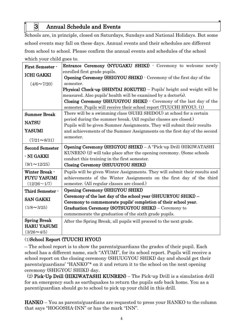## 3 Annual Schedule and Events

Schools are, in principle, closed on Saturdays, Sundays and National Holidays. But some school events may fall on these days. Annual events and their schedules are different from school to school. Please confirm the annual events and schedules of the school which your child goes to.

| First Semester -                             | Entrance Ceremony (NYUGAKU SHIKI) - Ceremony to welcome newly                                       |  |  |  |  |
|----------------------------------------------|-----------------------------------------------------------------------------------------------------|--|--|--|--|
| <b>ICHI GAKKI</b>                            | enrolled first grade pupils.<br>Opening Ceremony (SHIGYOU SHIKI) - Ceremony of the first day of the |  |  |  |  |
| $(4/6 \sim 7/20)$                            | semester.                                                                                           |  |  |  |  |
|                                              | Physical Check-up (SHINTAI SOKUTEI) - Pupils' height and weight will be                             |  |  |  |  |
|                                              | measured. Also pupils' health will be examined by a doctor(s).                                      |  |  |  |  |
|                                              | Closing Ceremony (SHUUGYOU SHIKI) - Ceremony of the last day of the                                 |  |  |  |  |
|                                              | semester. Pupils will receive their school report (TUUCHI HYOU). (1)                                |  |  |  |  |
| <b>Summer Break</b>                          | There will be a swimming class (SUIEI SHIDOU) at school for a certain                               |  |  |  |  |
| <b>NATSU</b>                                 | period during the summer break. (All regular classes are closed.)                                   |  |  |  |  |
|                                              | Pupils will be given Summer Assignments. They will submit their results                             |  |  |  |  |
| <b>YASUMI</b>                                | and achievements of the Summer Assignments on the first day of the second                           |  |  |  |  |
| $(7/21 \sim 8/31)$                           | semester.                                                                                           |  |  |  |  |
| <b>Second Semester</b>                       | Opening Ceremony (SHIGYOU SHIKI) - A "Pick-up Drill (HIKIWATASHI                                    |  |  |  |  |
| - NI GAKKI                                   | KUNREN) (2) will take place after the opening ceremony. (Some schools                               |  |  |  |  |
| conduct this training in the first semester. |                                                                                                     |  |  |  |  |
| $(9/1 \sim 12/25)$                           | Closing Ceremony (SHUUGYOU SHIKI)                                                                   |  |  |  |  |
| Winter Break -                               | Pupils will be given Winter Assignments. They will submit their results and                         |  |  |  |  |
| <b>FUYU YASUMI</b>                           | achievements of the Winter Assignments on the first day of the third                                |  |  |  |  |
| $(12/26 \sim 1/7)$                           | semester. (All regular classes are closed.)                                                         |  |  |  |  |
| Third Semester -                             | Opening Ceremony (SHIGYOU SHIKI)                                                                    |  |  |  |  |
| <b>SAN GAKKI</b>                             | Ceremony of the last day of the school year (SHUURYOU SHIKI) -                                      |  |  |  |  |
|                                              | Ceremony to commemorate pupils' completion of their school year.                                    |  |  |  |  |
| $(1/8 \sim 3/25)$                            | Graduation Ceremony (SOTSUGYOU SHIKI) - Ceremony to                                                 |  |  |  |  |
|                                              | commemorate the graduation of the sixth grade pupils.                                               |  |  |  |  |
| <b>Spring Break</b>                          | After the Spring Break, all pupils will proceed to the next grade.                                  |  |  |  |  |
| <b>HARU YASUMI</b>                           |                                                                                                     |  |  |  |  |
| $(3/26 \sim 4/5)$                            |                                                                                                     |  |  |  |  |

#### (1)School Report (TUUCHI HYOU)

– The school report is to show the parents/guardians the grades of their pupil. Each school has a different name, such "AYUMI", for its school report. Pupils will receive a school report on the closing ceremony (SHUUGYOU SHIKI) day and should get their parents/guardians' "HANKO"\* on it and return it to the school on the next opening ceremony (SHIGYOU SHIKI) day.

 (2) Pick-Up Drill (HIKIWATASHI KUNREN) – The Pick-up Drill is a simulation drill for an emergency such as earthquakes to return the pupils safe back home. You as a parent/guardian should go to school to pick up your child in this drill.

HANKO – You as parents/guardians are requested to press your HANKO to the column that says "HOGOSHA-INN" or has the mark "INN".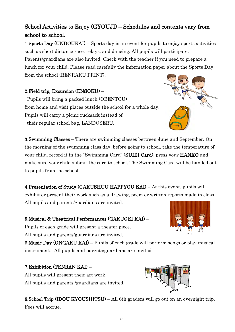## School Activities to Enjoy (GYOUJI) – Schedules and contents vary from school to school.

1.Sports Day (UNDOUKAI) – Sports day is an event for pupils to enjoy sports activities such as short distance race, relays, and dancing. All pupils will participate.

Parents/guardians are also invited. Check with the teacher if you need to prepare a lunch for your child. Please read carefully the information paper about the Sports Day from the school (RENRAKU PRINT).

#### 2.Field trip, Excursion (ENSOKU) –

 Pupils will bring a packed lunch (OBENTOU) from home and visit places outside the school for a whole day. Pupils will carry a picnic rucksack instead of their regular school bag, LANDOSERU.

3.Swimming Classes – There are swimming classes between June and September. On the morning of the swimming class day, before going to school, take the temperature of your child, record it in the "Swimming Card" (SUIEI Card), press your HANKO and make sure your child submit the card to school. The Swimming Card will be handed out to pupils from the school.

4.Presentation of Study (GAKUSHUU HAPPYOU KAI) – At this event, pupils will exhibit or present their work such as a drawing, poem or written reports made in class. All pupils and parents/guardians are invited.

#### 5.Musical & Theatrical Performances (GAKUGEI KAI) –

Pupils of each grade will present a theater piece. All pupils and parents/guardians are invited.

6.Music Day (ONGAKU KAI) – Pupils of each grade will perform songs or play musical instruments. All pupils and parents/guardians are invited.

#### 7.Exhibition (TENRAN KAI) –

All pupils will present their art work. All pupils and parents /guardians are invited.

8.School Trip (IDOU KYOUSHITSU) – All 6th graders will go out on an overnight trip. Fees will accrue.





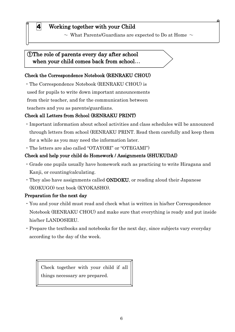## 4 Working together with your Child

 $\sim\,$  What Parents/Guardians are expected to Do at Home  $\,\sim\,$ 

#### ①The role of parents every day after school when your child comes back from school...

#### Check the Correspondence Notebook (RENRAKU CHOU)

・The Correspondence Notebook (RENRAKU CHOU) is

used for pupils to write down important announcements

from their teacher, and for the communication between

teachers and you as parents/guardians.

 $\overline{a}$ 

#### Check all Letters from School (RENRAKU PRINT)

- ・Important information about school activities and class schedules will be announced through letters from school (RENRAKU PRINT. Read them carefully and keep them for a while as you may need the information later.
- ・The letters are also called "OTAYORI" or "OTEGAMI")

#### Check and help your child do Homework / Assignments (SHUKUDAI)

- ・Grade one pupils usually have homework such as practicing to write Hiragana and Kanji, or counting/calculating.
- ・They also have assignments called ONDOKU, or reading aloud their Japanese (KOKUGO) text book (KYOKASHO).

#### Preparation for the next day

- ・You and your child must read and check what is written in his/her Correspondence Notebook (RENRAKU CHOU) and make sure that everything is ready and put inside his/her LANDOSERU.
- ・Prepare the textbooks and notebooks for the next day, since subjects vary everyday according to the day of the week.

Check together with your child if all things necessary are prepared.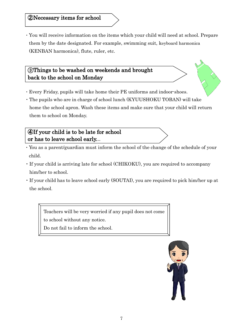## ②Necessary items for school

・You will receive information on the items which your child will need at school. Prepare them by the date designated. For example, swimming suit, keyboard harmonica (KENBAN harmonica), flute, ruler, etc.

### ③Things to be washed on weekends and brought back to the school on Monday

- ・Every Friday, pupils will take home their PE uniforms and indoor-shoes.
- ・The pupils who are in charge of school lunch (KYUUSHOKU TOBAN) will take home the school apron. Wash these items and make sure that your child will return them to school on Monday.

### ④If your child is to be late for school or has to leave school early...

I

- ・You as a parent/guardian must inform the school of the change of the schedule of your child.
- ・If your child is arriving late for school (CHIKOKU), you are required to accompany him/her to school.
- ・If your child has to leave school early (SOUTAI), you are required to pick him/her up at the school.

Teachers will be very worried if any pupil does not come to school without any notice.

Do not fail to inform the school.

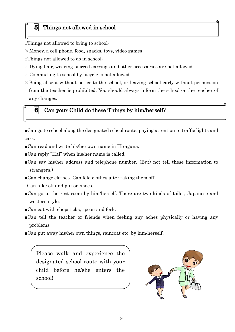#### 5 Things not allowed in school

□Things not allowed to bring to school:

 $\times$ Money, a cell phone, food, snacks, toys, video games

□Things not allowed to do in school:

- $\times$ Dying hair, wearing pierced earrings and other accessories are not allowed.
- $\times$  Commuting to school by bicycle is not allowed.
- $\times$ Being absent without notice to the school, or leaving school early without permission from the teacher is prohibited. You should always inform the school or the teacher of any changes.

#### $\vert 6 \vert$  Can your Child do these Things by him/herself?

■Can go to school along the designated school route, paying attention to traffic lights and cars.

- ■Can read and write his/her own name in Hiragana.
- ■Can reply "Hai" when his/her name is called.
- ■Can say his/her address and telephone number. (But) not tell these information to strangers.)
- ■Can change clothes. Can fold clothes after taking them off.

Can take off and put on shoes.

- ■Can go to the rest room by him/herself. There are two kinds of toilet, Japanese and western style.
- ■Can eat with chopsticks, spoon and fork.
- ■Can tell the teacher or friends when feeling any aches physically or having any problems.
- ■Can put away his/her own things, raincoat etc. by him/herself.

Please walk and experience the designated school route with your child before he/she enters the school!

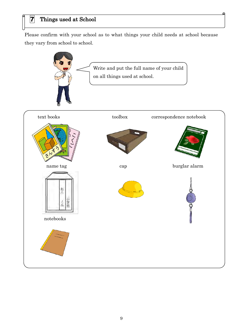Please confirm with your school as to what things your child needs at school because they vary from school to school.

G.

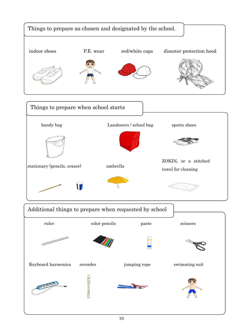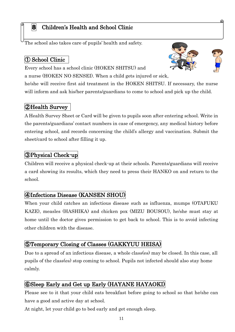## 8 Children's Health and School Clinic

The school also takes care of pupils' health and safety.

## ① School Clinic

Every school has a school clinic (HOKEN SHITSU) and

a nurse (HOKEN NO SENSEI). When a child gets injured or sick,

he/she will receive first aid treatment in the HOKEN SHITSU. If necessary, the nurse will inform and ask his/her parents/guardians to come to school and pick up the child.

## ②Health Survey

A Health Survey Sheet or Card will be given to pupils soon after entering school. Write in the parents/guardians' contact numbers in case of emergency, any medical history before entering school, and records concerning the child's allergy and vaccination. Submit the sheet/card to school after filling it up.

## ③Physical Check-up

Children will receive a physical check-up at their schools. Parents/guardians will receive a card showing its results, which they need to press their HANKO on and return to the school.

## ④Infections Disease (KANSEN SHOU)

When your child catches an infectious disease such as influenza, mumps (OTAFUKU KAZE), measles (HASHIKA) and chicken pox (MIZU BOUSOU), he/she must stay at home until the doctor gives permission to get back to school. This is to avoid infecting other children with the disease.

## ⑤Temporary Closing of Classes (GAKKYUU HEISA)

Due to a spread of an infectious disease, a whole class(es) may be closed. In this case, all pupils of the class(es) stop coming to school. Pupils not infected should also stay home calmly.

## ⑥Sleep Early and Get up Early (HAYANE HAYAOKI)

Please see to it that your child eats breakfast before going to school so that he/she can have a good and active day at school.

At night, let your child go to bed early and get enough sleep.



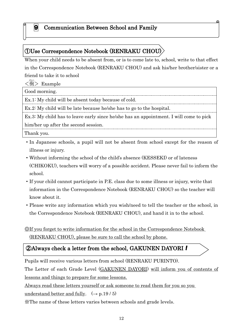#### 9 Communication Between School and Family

## ①Use Correspondence Notebook (RENRAKU CHOU)

When your child needs to be absent from, or is to come late to, school, write to that effect in the Correspondence Notebook (RENRAKU CHOU) and ask his/her brother/sister or a friend to take it to school

 $\langle 6n \rangle$  Example

 $\overline{\phantom{a}}$ 

 $\overline{a}$ 

Good morning.

Ex.1: My child will be absent today because of cold.

Ex.2: My child will be late because he/she has to go to the hospital.

Ex.3: My child has to leave early since he/she has an appointment. I will come to pick him/her up after the second session.

Thank you.

- ・In Japanese schools, a pupil will not be absent from school except for the reason of illness or injury.
- ・Without informing the school of the child's absence (KESSEKI) or of lateness (CHIKOKU), teachers will worry of a possible accident. Please never fail to inform the school.
- ・If your child cannot participate in P.E. class due to some illness or injury, write that information in the Correspondence Notebook (RENRAKU CHOU) so the teacher will know about it.
- ・Please write any information which you wish/need to tell the teacher or the school, in the Correspondence Notebook (RENRAKU CHOU), and hand it in to the school.

◎If you forget to write information for the school in the Correspondence Notebook (RENRAKU CHOU), please be sure to call the school by phone.

#### $@$ Always check a letter from the school, GAKUNEN DAYORI  $\boldsymbol{l}$  $\overline{\phantom{a}}$

Pupils will receive various letters from school (RENRAKU PURINTO).

The Letter of each Grade Level (GAKUNEN DAYORI) will inform you of contents of lessons and things to prepare for some lessons.

Always read these letters yourself or ask someone to read them for you so you

understand better and fully.  $(\rightarrow p.19/5)$ 

※The name of these letters varies between schools and grade levels.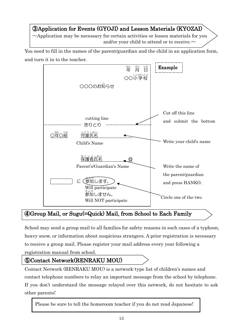## ③Application for Events (GYOJI) and Lesson Materials (KYOZAI)

 $\sim$ Application may be necessary for certain activities or lesson materials for you and/or your child to attend or to receive. $\sim$ 

You need to fill in the names of the parent/guardian and the child in an application form, and turn it in to the teacher.



## ④Group Mail, or Sugu(=Quick) Mail, from School to Each Family

School may send a group mail to all families for safety reasons in such cases of a typhoon, heavy snow, or information about suspicious strangers. A prior registration is necessary to receive a group mail. Please register your mail address every year following a registration manual from school.

## ⑤Contact Network(RENRAKU MOU)

Contact Network (RENRAKU MOU) is a network-type list of children's names and contact telephone numbers to relay an important message from the school by telephone. If you don't understand the message relayed over this network, do not hesitate to ask other parents!

Please be sure to tell the homeroom teacher if you do not read Japanese!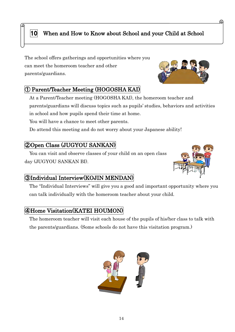## 10 When and How to Know about School and your Child at School

The school offers gatherings and opportunities where you can meet the homeroom teacher and other parents/guardians.

#### ① Parent/Teacher Meeting (HOGOSHA KAI)

At a Parent/Teacher meeting (HOGOSHA KAI), the homeroom teacher and parents/guardians will discuss topics such as pupils' studies, behaviors and activities in school and how pupils spend their time at home.

You will have a chance to meet other parents.

Do attend this meeting and do not worry about your Japanese ability!

#### ②Open Class (JUGYOU SANKAN)

i

You can visit and observe classes of your child on an open class day (JUGYOU SANKAN BI).

#### ③Individual Interview(KOJIN MENDAN)

The "Individual Interviews" will give you a good and important opportunity where you can talk individually with the homeroom teacher about your child.

#### ④Home Visitation(KATEI HOUMON)

The homeroom teacher will visit each house of the pupils of his/her class to talk with the parents/guardians. (Some schools do not have this visitation program.)



14



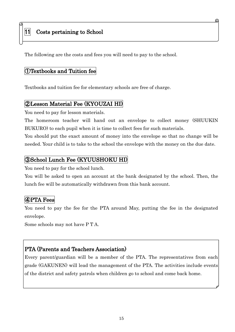#### 11 Costs pertaining to School

The following are the costs and fees you will need to pay to the school.

#### ①Textbooks and Tuition fee

Textbooks and tuition fee for elementary schools are free of charge.

#### ②Lesson Material Fee (KYOUZAI HI)

You need to pay for lesson materials.

The homeroom teacher will hand out an envelope to collect money (SHUUKIN BUKURO) to each pupil when it is time to collect fees for such materials.

You should put the exact amount of money into the envelope so that no change will be needed. Your child is to take to the school the envelope with the money on the due date.

#### ③School Lunch Fee (KYUUSHOKU HI)

You need to pay for the school lunch.

You will be asked to open an account at the bank designated by the school. Then, the lunch fee will be automatically withdrawn from this bank account.

#### ④PTA Fees

I

You need to pay the fee for the PTA around May, putting the fee in the designated envelope.

Some schools may not have P T A.

#### PTA (Parents and Teachers Association)

Every parent/guardian will be a member of the PTA. The representatives from each grade (GAKUNEN) will lead the management of the PTA. The activities include events of the district and safety patrols when children go to school and come back home.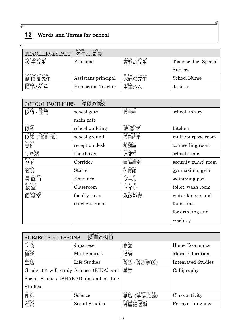## 12 Words and Terms for School

| TEACHERS&STAFF        | 选出しょくいん<br>先生と職員    |                              |                     |
|-----------------------|---------------------|------------------------------|---------------------|
| こうちょうせんせい<br>校長先生     | Principal           | <sub>せんか せんせい</sub><br>専科の先生 | Teacher for Special |
|                       |                     |                              | Subject             |
| ふくこうちょうせんせい<br>副校長先生  | Assistant principal | <sub>ほけん</sub> せんせい<br>保健の先生 | <b>School Nurse</b> |
| たんにん<br>せんせい<br>担任の先生 | Homeroom Teacher    | しゅじ<br>主事さん                  | Janitor             |

 $\mathfrak{Q}$ 

| かこう しせっ<br><b>SCHOOL FACILITIES</b> |                 |                            |                     |  |  |
|-------------------------------------|-----------------|----------------------------|---------------------|--|--|
| 高 <sup>5</sup> ・ 勘読                 | school gate     | 25年52                      | school library      |  |  |
|                                     | main gate       |                            |                     |  |  |
| あいた                                 | school building | <sub>ままうしょくしつ</sub><br>給食室 | kitchen             |  |  |
| うんどうじょう<br>こうてい<br>校庭<br>(運動場)      | school ground   | をもくてきしつ<br><b>多目的室</b>     | multi-purpose room  |  |  |
| うけつけ<br>受付                          | reception desk  | <sub>そうだんしつ</sub><br>相談室   | counselling room    |  |  |
| げた箱                                 | shoe boxes      | ほけんしつ<br>保健室               | school clinic       |  |  |
| るうか<br>廊下                           | Corridor        | けいびいんしつ<br>警備員室            | security guard room |  |  |
| <sub>脳院</sub>                       | <b>Stairs</b>   | <sub>たいいくかん</sub><br>体育館   | gymnasium, gym      |  |  |
| しょうこうぐち<br>昇降口                      | Entrance        | ゔ゠ル゙                       | swimming pool       |  |  |
| 教室                                  | Classroom       | といれ                        | toilet, wash room   |  |  |
| 湯湯                                  | faculty room    | みすのみは<br>水飲み場              | water faucets and   |  |  |
|                                     | teachers' room  |                            | fountains           |  |  |
|                                     |                 |                            | for drinking and    |  |  |
|                                     |                 |                            | washing             |  |  |

| じゅぎょう<br>かもく<br>授業の科目<br><b>SUBJECTS of LESSONS</b> |                |                                   |                           |  |
|-----------------------------------------------------|----------------|-----------------------------------|---------------------------|--|
| こくご<br>国語                                           | Japanese       | 家庭                                | Home Economics            |  |
| 普数算                                                 | Mathematics    | 道徳                                | Moral Education           |  |
| 勤約                                                  | Life Studies   | そうごう<br>そうごうがくしゅう<br>総合<br>(総合学習) | <b>Integrated Studies</b> |  |
| Grade 3.6 will study Science (RIKA) and             |                | まっきょう                             | Calligraphy               |  |
| Social Studies (SHAKAI) instead of Life             |                |                                   |                           |  |
| <b>Studies</b>                                      |                |                                   |                           |  |
| ッゕ<br>理科                                            | Science        | がっきゅうかつどう<br>がっかつ<br>(学級活動)<br>学活 | Class activity            |  |
| なかり                                                 | Social Studies | がいこく ご かつどう<br>外国語活動              | Foreign Language          |  |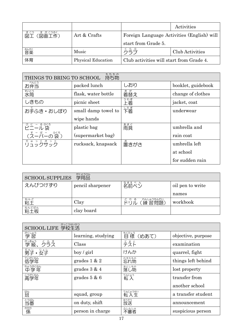|                                       |                           |                                          | Activities                                 |
|---------------------------------------|---------------------------|------------------------------------------|--------------------------------------------|
| ず が こうさく<br><u>ずこう</u><br>(図画工作)<br>図 | Art & Crafts              |                                          | Foreign Language Activities (English) will |
|                                       |                           | start from Grade 5.                      |                                            |
| <sub>おんがく</sub><br>音楽                 | Music                     | ら                                        | Club Activities                            |
| 体育                                    | <b>Physical Education</b> | Club activities will start from Grade 4. |                                            |

| もちもの<br><b>持ち物</b><br>THINGS TO BRING TO SCHOOL |                     |                      |                    |  |  |
|-------------------------------------------------|---------------------|----------------------|--------------------|--|--|
| べんとう<br>お弁当                                     | packed lunch        | しおり                  | booklet, guidebook |  |  |
| 挑筒                                              | flask, water bottle | <sup>きが</sup><br>着替え | change of clothes  |  |  |
| しきもの                                            | picnic sheet        | うわぎ                  | jacket, coat       |  |  |
| お手ふき・おしぼり                                       | small damp towel to | したぎ<br>下着            | underwear          |  |  |
|                                                 | wipe hands          |                      |                    |  |  |
| びに - るぶろ<br><b>ビニール</b> 袋                       | plastic bag         | あまぐ                  | umbrella and       |  |  |
| (スーパーの袋)                                        | (supermarket bag)   |                      | rain coat          |  |  |
| ヮ゚゠ぅゟぎぅゟ                                        | rucksack, knapsack  | 置きがさ                 | umbrella left      |  |  |
|                                                 |                     |                      | at school          |  |  |
|                                                 |                     |                      | for sudden rain    |  |  |

| がくようひん<br>学用品<br><b>SCHOOL SUPPLIES</b> |                  |                                   |                  |  |  |
|-----------------------------------------|------------------|-----------------------------------|------------------|--|--|
| えんぴつけずり                                 | pencil sharpener | なまえべん<br>名前ペン                     | oil pen to write |  |  |
|                                         |                  |                                   | names            |  |  |
| <sub>ねんど</sub><br>粘土                    | Clay             | れんしゅうもんだい<br>どりる<br>(練習問題)<br>ドリル | workbook         |  |  |
| ねんどばん<br>粘土板                            | clay board       |                                   |                  |  |  |

| がっこうせいかつ<br>SCHOOL LIFE 学校生活 |                      |                          |                    |  |
|------------------------------|----------------------|--------------------------|--------------------|--|
| がくしゅう<br>学習                  | learning, studying   | もくひょう<br>標<br>(めあて)<br>冃 | objective, purpose |  |
| 梦級<br>ううえ                    | Class                | テスト                      | examination        |  |
| だんし<br>じょし<br>男子・女子          | $\frac{1}{\sqrt{2}}$ | けんか                      | quarrel, fight     |  |
| ていがくねん<br>低学年                | grades $1 & 2$       | わすれもの<br>忘れ物             | things left behind |  |
| ちゅうがくねん<br>中学年               | grades $3 & 4$       | おとしもの<br>落し物             | lost property      |  |
| こうがくねん<br>高学年                | grades $5 & 6$       | てんにゅう<br>転入              | transfer from      |  |
|                              |                      |                          | another school     |  |
| 璇                            | squad, group         | てんにゅうせい<br>転入生           | a transfer student |  |
| とうばん<br>当塞                   | on duty, shift       | ほうそう<br>放送               | announcement       |  |
| 瓣係                           | person in charge     | ふしんしゃ                    | suspicious person  |  |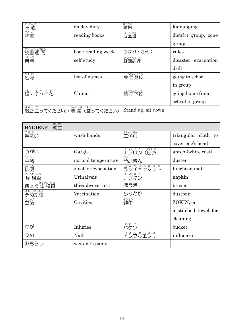| にっちょく<br>直          | on day duty                               | ゅぅかい<br>誘拐              | kidnapping           |
|---------------------|-------------------------------------------|-------------------------|----------------------|
| 終議                  | reading books                             | ち くはん<br>地区班            | district group, zone |
|                     |                                           |                         | group                |
| どくしょしゅうかん<br>読書週間   | book reading week                         | きまり・きそく                 | rules                |
| じゅう<br>自習           | self-study                                | ひなんくんれん<br>避難訓練         | disaster evacuation  |
|                     |                                           |                         | drill                |
| めいぼ<br>名簿           | list of names                             | しゅうだんとうこう<br>集 団登校      | going to school      |
|                     |                                           |                         | in group             |
| かね ちゃいむ<br>鐘 • チャイム | Chimes                                    | しゅうだんげこう<br><b>集団下校</b> | going home from      |
|                     |                                           |                         | school in group      |
| きりつ た               | ちゃくせき<br>すわ<br>起立(立ってください) · 着席 (座ってください) | Stand up, sit down      |                      |

| えいせい<br>衛生<br><b>HYGIENE</b> |                      |                              |                      |
|------------------------------|----------------------|------------------------------|----------------------|
| てあら<br>手洗い                   | wash hands           | さんかくきん<br>三角巾                | triangular cloth to  |
|                              |                      |                              | cover one's head     |
| うがい                          | Gargle               | <u>ぇぁぅん</u> はくぃ<br>エプロン (白衣) | apron (white coat)   |
| へいねつ<br>平熱                   | normal temperature   | だい<br>台ふきん                   | duster               |
| はいべん<br>排便                   | stool, or evacuation | <u>らんちょんまっと</u><br>ランチョンマット  | luncheon mat         |
| にょうけんさ<br>尿 検査               | Urinalysis           | <u>ょ。まん</u><br>ナプキン          | napkin               |
| ちゅうけんさ<br>ぎょう 虫 検査           | threadworm test      | ほうき                          | broom                |
| よぼうせっしゅ<br>予防接種              | Vaccination          | ちりとり                         | dustpan              |
| 史歯                           | Cavities             | ∛薄                           | ZOKIN, or            |
|                              |                      |                              | a stitched towel for |
|                              |                      |                              | cleaning             |
| けが                           | Injuries             | ばけつ<br>バケツ                   | bucket               |
| つめ                           | Nail                 | ゚゚ヽ゚ゕゕゕ゙ゕゕ゙゙ゕ                | influenza            |
| おもらし                         | wet one's pants      |                              |                      |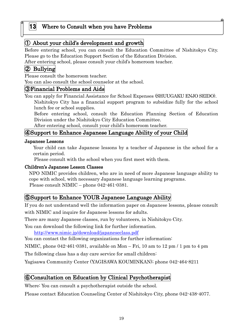#### 13 Where to Consult when you have Problems

#### ① About your child's development and growth

Before entering school, you can consult the Education Committee of Nishitokyo City. Please go to the Education Support Section of the Education Division.

After entering school, please consult your child's homeroom teacher.

#### ② Bullying

Please consult the homeroom teacher.

You can also consult the school counselor at the school.

#### ③Financial Problems and Aids

You can apply for Financial Assistance for School Expenses (SHUUGAKU ENJO SEIDO). Nishitokyo City has a financial support program to subsidize fully for the school lunch fee or school supplies.

Before entering school, consult the Education Planning Section of Education Division under the Nishitokyo City Education Committee.

After entering school, consult your child's homeroom teacher.

#### ④Support to Enhance Japanese Language Ability of your Child

#### Japanese Lessons

Your child can take Japanese lessons by a teacher of Japanese in the school for a certain period.

Please consult with the school when you first meet with them.

#### Children's Japanese Lesson Classes

NPO NIMIC provides children, who are in need of more Japanese language ability to cope with school, with necessary Japanese language learning programs. Please consult NIMIC – phone 042-461-0381.

#### ⑤Support to Enhance YOUR Japanese Language Ability

If you do not understand well the information paper on Japanese lessons, please consult with NIMIC and inquire for Japanese lessons for adults.

There are many Japanese classes, run by volunteers, in Nishitokyo City.

You can download the following link for further information.

<http://www.nimic.jp/download/japaneseclass.pdf>

You can contact the following organizations for further information:

NIMIC, phone 042-461-0381, available on Mon – Fri, 10 am to 12 pm / 1 pm to 4 pm

The following class has a day care service for small children:

Yagisawa Community Center (YAGISAWA KOUMINKAN); phone 042-464-8211

#### ⑥Consultation on Education by Clinical Psychotherapist

Where: You can consult a psychotherapist outside the school.

Please contact Education Counseling Center of Nishitokyo City, phone 042-438-4077.